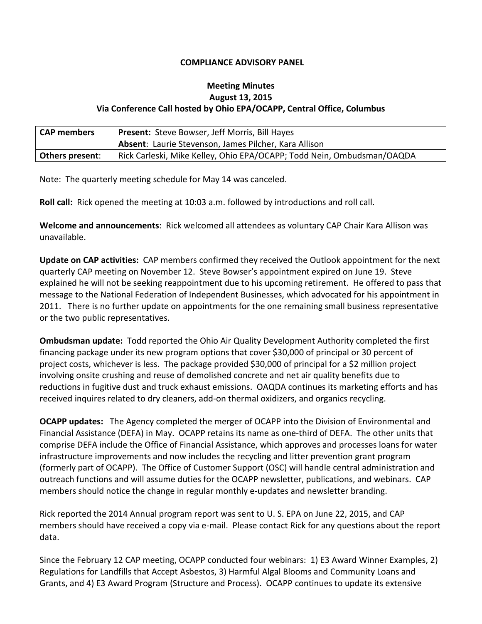## **COMPLIANCE ADVISORY PANEL**

## **Meeting Minutes August 13, 2015 Via Conference Call hosted by Ohio EPA/OCAPP, Central Office, Columbus**

| <b>CAP members</b>     | <b>Present:</b> Steve Bowser, Jeff Morris, Bill Hayes                  |
|------------------------|------------------------------------------------------------------------|
|                        | <b>Absent:</b> Laurie Stevenson, James Pilcher, Kara Allison           |
| <b>Others present:</b> | Rick Carleski, Mike Kelley, Ohio EPA/OCAPP; Todd Nein, Ombudsman/OAQDA |

Note: The quarterly meeting schedule for May 14 was canceled.

**Roll call:** Rick opened the meeting at 10:03 a.m. followed by introductions and roll call.

**Welcome and announcements**: Rick welcomed all attendees as voluntary CAP Chair Kara Allison was unavailable.

**Update on CAP activities:** CAP members confirmed they received the Outlook appointment for the next quarterly CAP meeting on November 12. Steve Bowser's appointment expired on June 19. Steve explained he will not be seeking reappointment due to his upcoming retirement. He offered to pass that message to the National Federation of Independent Businesses, which advocated for his appointment in 2011. There is no further update on appointments for the one remaining small business representative or the two public representatives.

**Ombudsman update:**Todd reported the Ohio Air Quality Development Authority completed the first financing package under its new program options that cover \$30,000 of principal or 30 percent of project costs, whichever is less. The package provided \$30,000 of principal for a \$2 million project involving onsite crushing and reuse of demolished concrete and net air quality benefits due to reductions in fugitive dust and truck exhaust emissions. OAQDA continues its marketing efforts and has received inquires related to dry cleaners, add-on thermal oxidizers, and organics recycling.

**OCAPP updates:** The Agency completed the merger of OCAPP into the Division of Environmental and Financial Assistance (DEFA) in May. OCAPP retains its name as one-third of DEFA. The other units that comprise DEFA include the Office of Financial Assistance, which approves and processes loans for water infrastructure improvements and now includes the recycling and litter prevention grant program (formerly part of OCAPP). The Office of Customer Support (OSC) will handle central administration and outreach functions and will assume duties for the OCAPP newsletter, publications, and webinars. CAP members should notice the change in regular monthly e-updates and newsletter branding.

Rick reported the 2014 Annual program report was sent to U. S. EPA on June 22, 2015, and CAP members should have received a copy via e-mail. Please contact Rick for any questions about the report data.

Since the February 12 CAP meeting, OCAPP conducted four webinars: 1) E3 Award Winner Examples, 2) Regulations for Landfills that Accept Asbestos, 3) Harmful Algal Blooms and Community Loans and Grants, and 4) E3 Award Program (Structure and Process). OCAPP continues to update its extensive